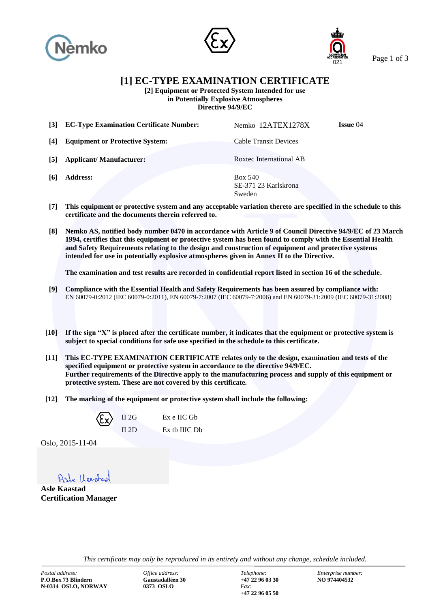





Page 1 of 3

**[1] EC-TYPE EXAMINATION CERTIFICATE**

**[2] Equipment or Protected System Intended for use in Potentially Explosive Atmospheres**

**Directive 94/9/EC**

**[3] EC-Type Examination Certificate Number:** Nemko 12ATEX1278X **Issue** 04 **[4] Equipment or Protective System:** Cable Transit Devices **[5] Applicant/ Manufacturer:** Roxtec International AB **[6] Address:** Box 540

SE-371 23 Karlskrona Sweden

- **[7] This equipment or protective system and any acceptable variation thereto are specified in the schedule to this certificate and the documents therein referred to.**
- **[8] Nemko AS, notified body number 0470 in accordance with Article 9 of Council Directive 94/9/EC of 23 March 1994, certifies that this equipment or protective system has been found to comply with the Essential Health and Safety Requirements relating to the design and construction of equipment and protective systems intended for use in potentially explosive atmospheres given in Annex II to the Directive.**

**The examination and test results are recorded in confidential report listed in section 16 of the schedule.**

- **[9] Compliance with the Essential Health and Safety Requirements has been assured by compliance with:** EN 60079-0:2012 (IEC 60079-0:2011), EN 60079-7:2007 (IEC 60079-7:2006) and EN 60079-31:2009 (IEC 60079-31:2008)
- **[10] If the sign "X" is placed after the certificate number, it indicates that the equipment or protective system is subject to special conditions for safe use specified in the schedule to this certificate.**
- **[11] This EC-TYPE EXAMINATION CERTIFICATE relates only to the design, examination and tests of the specified equipment or protective system in accordance to the directive 94/9/EC. Further requirements of the Directive apply to the manufacturing process and supply of this equipment or protective system. These are not covered by this certificate.**
- **[12] The marking of the equipment or protective system shall include the following:**



Ex e IIC Gb Ex tb IIIC Db

Oslo, 2015-11-04

Asle Harstach

**Asle Kaastad Certification Manager**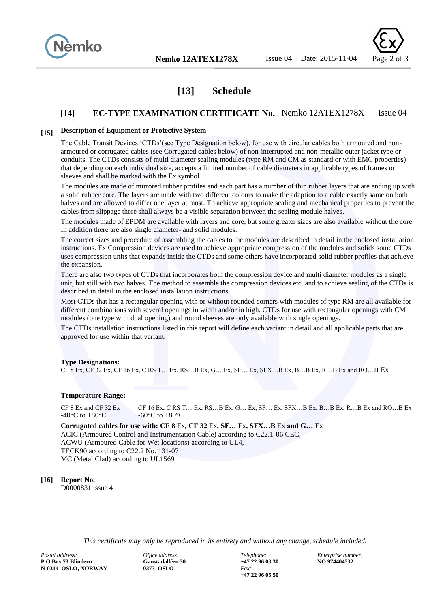



# **[13] Schedule**

# **[14] EC-TYPE EXAMINATION CERTIFICATE No.** Nemko 12ATEX1278X Issue 04

## **[15] Description of Equipment or Protective System**

The Cable Transit Devices 'CTDs'(see Type Designation below), for use with circular cables both armoured and nonarmoured or corrugated cables (see Corrugated cables below) of non-interrupted and non-metallic outer jacket type or conduits. The CTDs consists of multi diameter sealing modules (type RM and CM as standard or with EMC properties) that depending on each individual size, accepts a limited number of cable diameters in applicable types of frames or sleeves and shall be marked with the Ex symbol.

The modules are made of mirrored rubber profiles and each part has a number of thin rubber layers that are ending up with a solid rubber core. The layers are made with two different colours to make the adaption to a cable exactly same on both halves and are allowed to differ one layer at most. To achieve appropriate sealing and mechanical properties to prevent the cables from slippage there shall always be a visible separation between the sealing module halves.

The modules made of EPDM are available with layers and core, but some greater sizes are also available without the core. In addition there are also single diameter- and solid modules.

The correct sizes and procedure of assembling the cables to the modules are described in detail in the enclosed installation instructions. Ex Compression devices are used to achieve appropriate compression of the modules and solids some CTDs uses compression units that expands inside the CTDs and some others have incorporated solid rubber profiles that achieve the expansion.

There are also two types of CTDs that incorporates both the compression device and multi diameter modules as a single unit, but still with two halves. The method to assemble the compression devices etc. and to achieve sealing of the CTDs is described in detail in the enclosed installation instructions.

Most CTDs that has a rectangular opening with or without rounded corners with modules of type RM are all available for different combinations with several openings in width and/or in high. CTDs for use with rectangular openings with CM modules (one type with dual opening) and round sleeves are only available with single openings.

The CTDs installation instructions listed in this report will define each variant in detail and all applicable parts that are approved for use within that variant.

#### **Type Designations:**

CF 8 Ex, CF 32 Ex, CF 16 Ex, C RS T… Ex, RS…B Ex, G… Ex, SF… Ex, SFX…B Ex, B…B Ex, R…B Ex and RO…B Ex

#### **Temperature Range:**

CF 8 Ex and CF 32 Ex CF 16 Ex, C RS T… Ex, RS…B Ex, G… Ex, SF… Ex, SFX…B Ex, B…B Ex, R…B Ex and RO…B Ex  $-40^{\circ}$ C to  $+80^{\circ}$ C  $-60^{\circ}$ C to  $+80^{\circ}$ C

**Corrugated cables for use with: CF 8** Ex**, CF 32** Ex**, SF…** Ex**, SFX…B** Ex **and G…** Ex ACIC (Armoured Control and Instrumentation Cable) according to C22.1-06 CEC, ACWU (Armoured Cable for Wet locations) according to UL4, TECK90 according to C22.2 No. 131-07 MC (Metal Clad) according to UL1569

## **[16] Report No.**

D0000831 issue 4

*This certificate may only be reproduced in its entirety and without any change, schedule included.*

*Postal address: Office address: Telephone: Enterprise number:* **P.O.Box 73 Blindern N-0314 OSLO, NORWAY 0373 OSLO** *Fax:*

**+47 22 96 05 50**